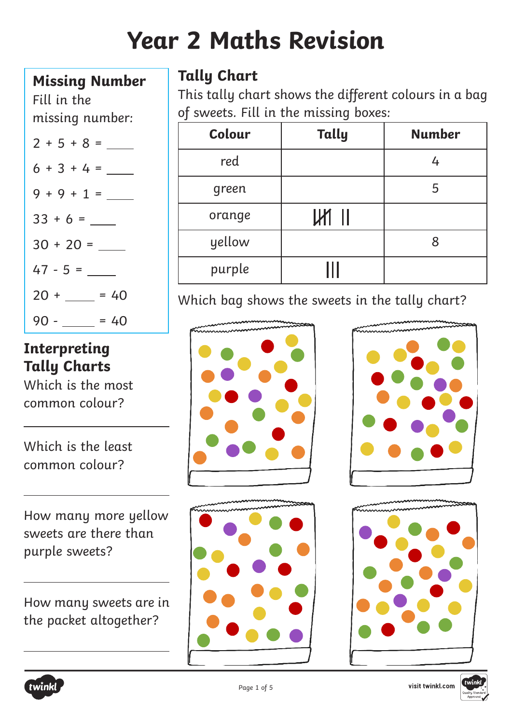# **Year 2 Maths Revision**

# **Missing Number**

Fill in the missing number:

# $2 + 5 + 8 =$  $6 + 3 + 4 =$  $9 + 9 + 1 =$  $33 + 6 =$

30 + 20 =

- 47 5 =
- $20 + 40$

 $90 -$  = 40

# **Interpreting Tally Charts**

Which is the most common colour?

Which is the least common colour?

How many more yellow sweets are there than purple sweets?

How many sweets are in the packet altogether?

# **Tally Chart**

This tally chart shows the different colours in a bag of sweets. Fill in the missing boxes:

| Colour | <b>Tally</b> | <b>Number</b> |
|--------|--------------|---------------|
| red    |              | 4             |
| green  |              | 5             |
| orange | $III$ $II$   |               |
| yellow |              | 8             |
| purple |              |               |

Which bag shows the sweets in the tally chart?









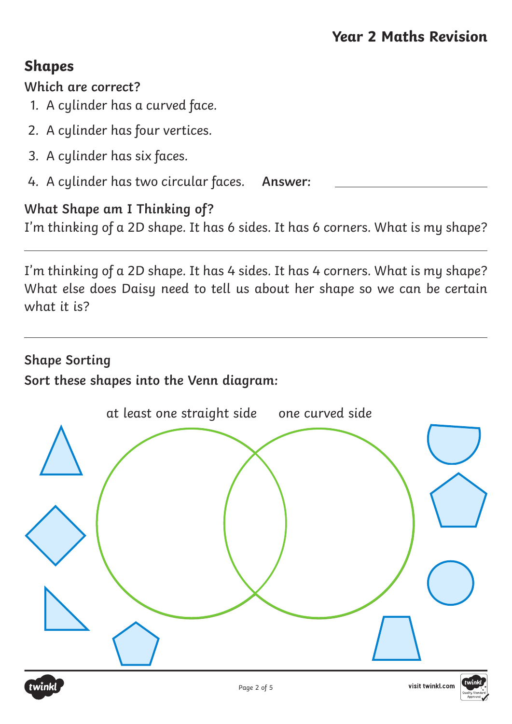# **Shapes**

#### **Which are correct?**

- 1. A cylinder has a curved face.
- 2. A cylinder has four vertices.
- 3. A cylinder has six faces.
- 4. A cylinder has two circular faces. **Answer:**

## **What Shape am I Thinking of?**

I'm thinking of a 2D shape. It has 6 sides. It has 6 corners. What is my shape?

I'm thinking of a 2D shape. It has 4 sides. It has 4 corners. What is my shape? What else does Daisy need to tell us about her shape so we can be certain what it is?

#### **Shape Sorting**

#### **Sort these shapes into the Venn diagram:**



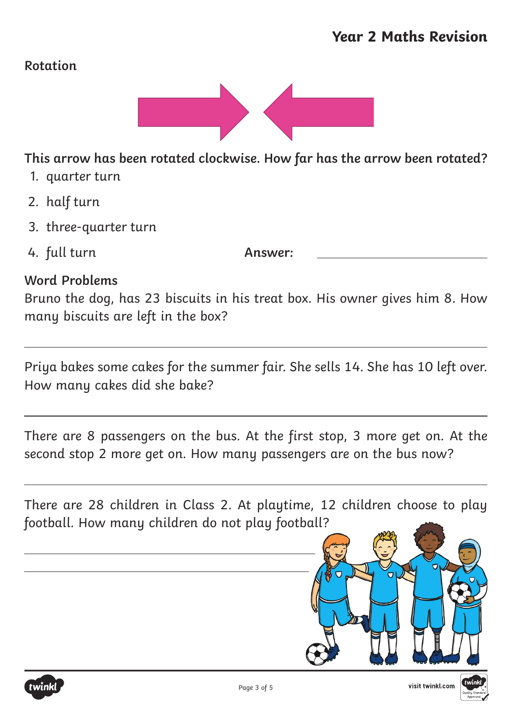### **Year 2 Maths Revision**

#### **Rotation**



**This arrow has been rotated clockwise. How far has the arrow been rotated?**

- 1. quarter turn
- 2. half turn
- 3. three-quarter turn
- 4. full turn **Answer:**

#### **Word Problems**

Bruno the dog, has 23 biscuits in his treat box. His owner gives him 8. How many biscuits are left in the box?

Priya bakes some cakes for the summer fair. She sells 14. She has 10 left over. How many cakes did she bake?

There are 8 passengers on the bus. At the first stop, 3 more get on. At the second stop 2 more get on. How many passengers are on the bus now?

There are 28 children in Class 2. At playtime, 12 children choose to play football. How many children do not play football?



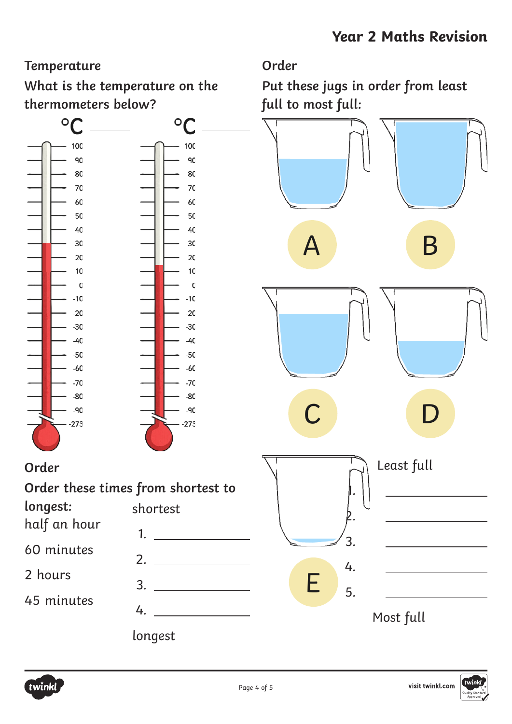

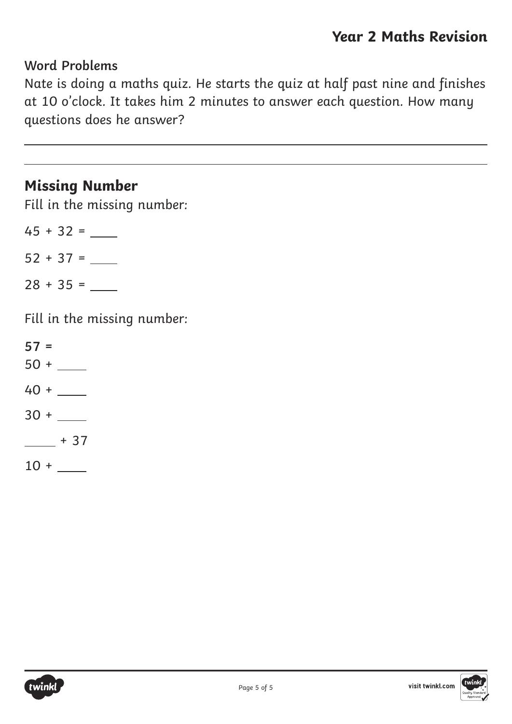#### **Word Problems**

Nate is doing a maths quiz. He starts the quiz at half past nine and finishes at 10 o'clock. It takes him 2 minutes to answer each question. How many questions does he answer?

## **Missing Number**

Fill in the missing number:

 $45 + 32 =$  $52 + 37 =$ 

 $28 + 35 =$ 

Fill in the missing number:

- **57 =**
- 50 +
- 40 +
- $30 +$
- + 37
- 10 +

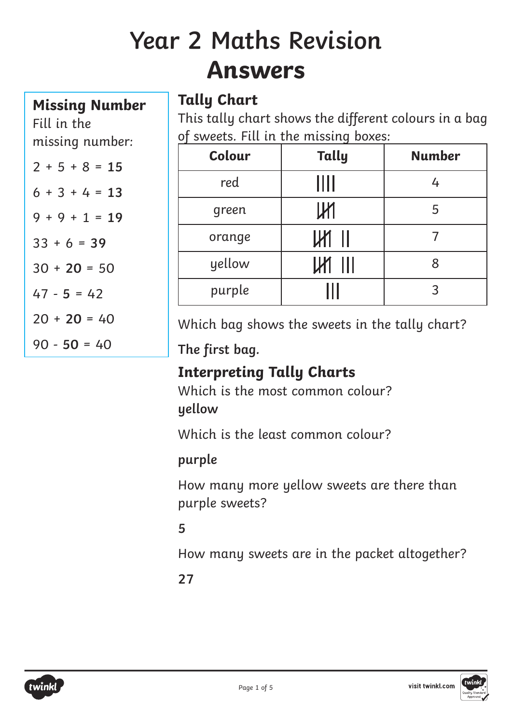# **Year 2 Maths Revision Answers**

## **Missing Number**

Fill in the missing number:

$$
2 + 5 + 8 = 15
$$

$$
6 + 3 + 4 = 13
$$

$$
9 + 9 + 1 = 19
$$

$$
33 + 6 = 39
$$

$$
30 + 20 = 50
$$

$$
47 - 5 = 42
$$

$$
20 + 20 = 40
$$

90 - **50** = 40

# **Tally Chart**

This tally chart shows the different colours in a bag of sweets. Fill in the missing boxes:

| Colour | <b>Tally</b> | <b>Number</b> |
|--------|--------------|---------------|
| red    | Ш            | 4             |
| green  | Ш            | 5             |
| orange | $W$ II       |               |
| yellow | III          |               |
| purple |              | 3             |

Which bag shows the sweets in the tally chart?

**The first bag.**

# **Interpreting Tally Charts**

Which is the most common colour? **yellow**

Which is the least common colour?

## **purple**

How many more yellow sweets are there than purple sweets?

# **5**

How many sweets are in the packet altogether?

**27**



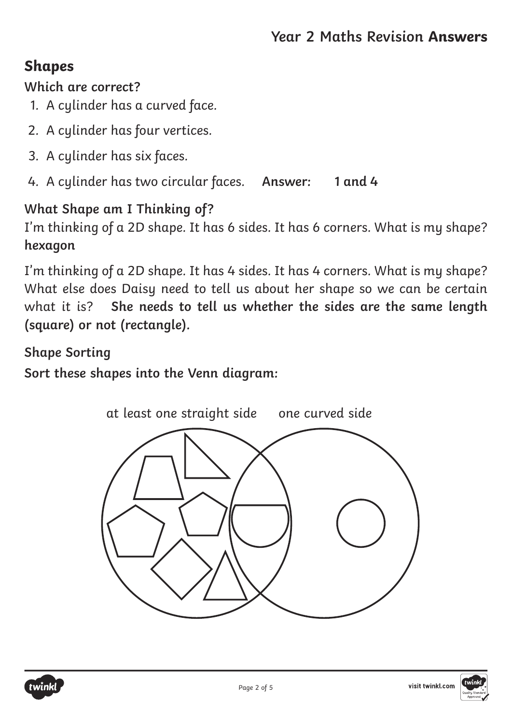# **Shapes**

## **Which are correct?**

- 1. A cylinder has a curved face.
- 2. A cylinder has four vertices.
- 3. A cylinder has six faces.
- 4. A cylinder has two circular faces. **Answer: 1 and 4**

## **What Shape am I Thinking of?**

I'm thinking of a 2D shape. It has 6 sides. It has 6 corners. What is my shape? **hexagon**

I'm thinking of a 2D shape. It has 4 sides. It has 4 corners. What is my shape? What else does Daisy need to tell us about her shape so we can be certain what it is? **She needs to tell us whether the sides are the same length (square) or not (rectangle).**

**Shape Sorting**

**Sort these shapes into the Venn diagram:**





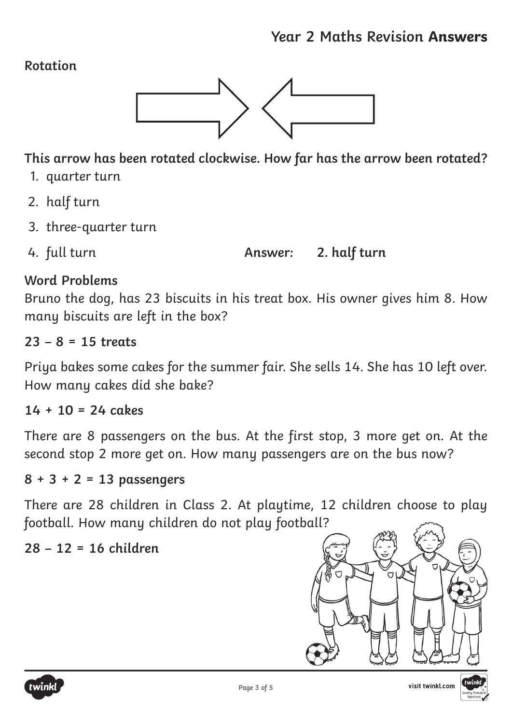#### **Rotation**



**This arrow has been rotated clockwise. How far has the arrow been rotated?**

- 1. quarter turn
- 2. half turn
- 3. three-quarter turn
- 4. full turn **Answer: 2. half turn**

## **Word Problems**

Bruno the dog, has 23 biscuits in his treat box. His owner gives him 8. How many biscuits are left in the box?

#### **23 – 8 = 15 treats**

Priya bakes some cakes for the summer fair. She sells 14. She has 10 left over. How many cakes did she bake?

#### **14 + 10 = 24 cakes**

There are 8 passengers on the bus. At the first stop, 3 more get on. At the second stop 2 more get on. How many passengers are on the bus now?

#### **8 + 3 + 2 = 13 passengers**

There are 28 children in Class 2. At playtime, 12 children choose to play football. How many children do not play football?

#### **28 – 12 = 16 children**



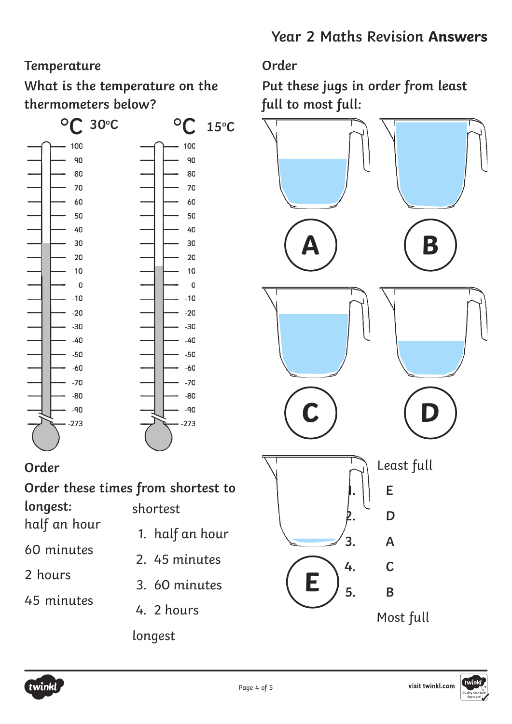# **Year 2 Maths Revision Answers**

## **Temperature**

**What is the temperature on the thermometers below?**



#### **Order**

|              | Order these times from shortest to |  |
|--------------|------------------------------------|--|
| longest:     | shortest                           |  |
| half an hour | 1. half an hour                    |  |
| 60 minutes   | 2. 45 minutes                      |  |
| 2 hours      |                                    |  |
| 45 minutes   | 3. 60 minutes                      |  |
|              | 4. 2 hours                         |  |

longest

**Order**

**Put these jugs in order from least full to most full:**